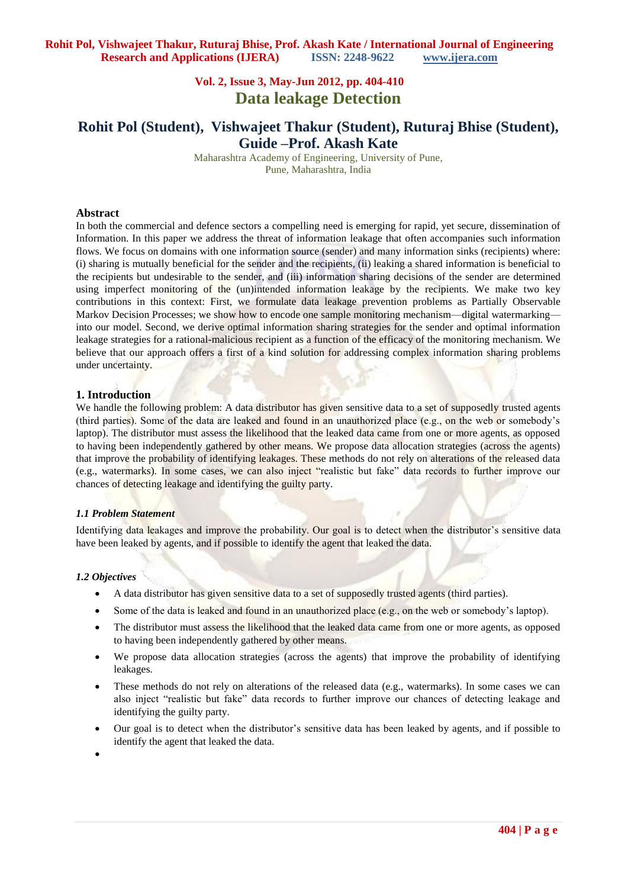# **Vol. 2, Issue 3, May-Jun 2012, pp. 404-410 Data leakage Detection**

# **Rohit Pol (Student), Vishwajeet Thakur (Student), Ruturaj Bhise (Student), Guide –Prof. Akash Kate**

Maharashtra Academy of Engineering, University of Pune, Pune, Maharashtra, India

### **Abstract**

In both the commercial and defence sectors a compelling need is emerging for rapid, yet secure, dissemination of Information. In this paper we address the threat of information leakage that often accompanies such information flows. We focus on domains with one information source (sender) and many information sinks (recipients) where: (i) sharing is mutually beneficial for the sender and the recipients, (ii) leaking a shared information is beneficial to the recipients but undesirable to the sender, and (iii) information sharing decisions of the sender are determined using imperfect monitoring of the (un)intended information leakage by the recipients. We make two key contributions in this context: First, we formulate data leakage prevention problems as Partially Observable Markov Decision Processes; we show how to encode one sample monitoring mechanism—digital watermarking into our model. Second, we derive optimal information sharing strategies for the sender and optimal information leakage strategies for a rational-malicious recipient as a function of the efficacy of the monitoring mechanism. We believe that our approach offers a first of a kind solution for addressing complex information sharing problems under uncertainty.

## **1. Introduction**

We handle the following problem: A data distributor has given sensitive data to a set of supposedly trusted agents (third parties). Some of the data are leaked and found in an unauthorized place (e.g., on the web or somebody's laptop). The distributor must assess the likelihood that the leaked data came from one or more agents, as opposed to having been independently gathered by other means. We propose data allocation strategies (across the agents) that improve the probability of identifying leakages. These methods do not rely on alterations of the released data (e.g., watermarks). In some cases, we can also inject "realistic but fake" data records to further improve our chances of detecting leakage and identifying the guilty party.

### *1.1 Problem Statement*

Identifying data leakages and improve the probability. Our goal is to detect when the distributor's sensitive data have been leaked by agents, and if possible to identify the agent that leaked the data.

#### *1.2 Objectives*

- A data distributor has given sensitive data to a set of supposedly trusted agents (third parties).
- Some of the data is leaked and found in an unauthorized place (e.g., on the web or somebody's laptop).
- The distributor must assess the likelihood that the leaked data came from one or more agents, as opposed to having been independently gathered by other means.
- We propose data allocation strategies (across the agents) that improve the probability of identifying leakages.
- These methods do not rely on alterations of the released data (e.g., watermarks). In some cases we can also inject "realistic but fake" data records to further improve our chances of detecting leakage and identifying the guilty party.
- Our goal is to detect when the distributor's sensitive data has been leaked by agents, and if possible to identify the agent that leaked the data.
- $\bullet$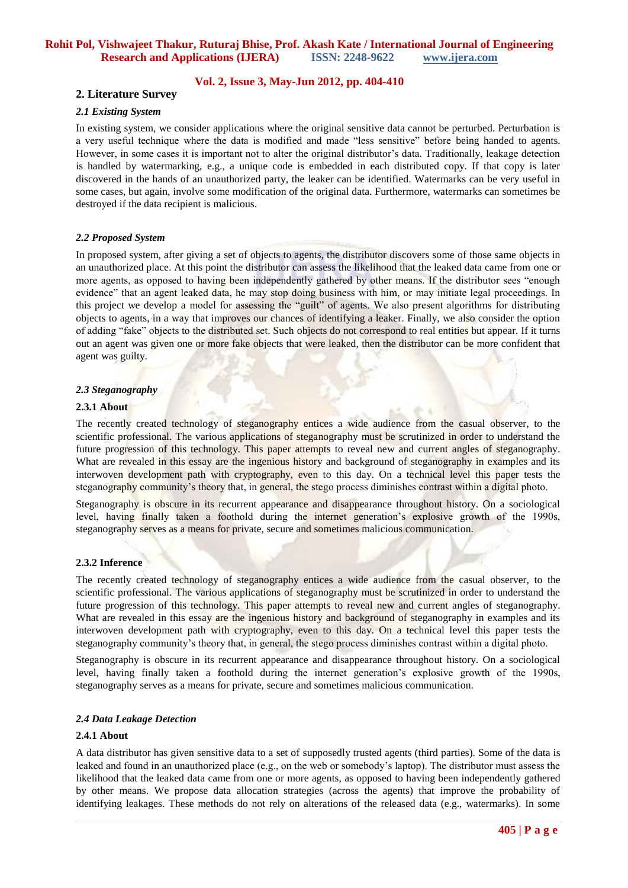## **Vol. 2, Issue 3, May-Jun 2012, pp. 404-410**

## **2. Literature Survey**

#### *2.1 Existing System*

In existing system, we consider applications where the original sensitive data cannot be perturbed. Perturbation is a very useful technique where the data is modified and made "less sensitive" before being handed to agents. However, in some cases it is important not to alter the original distributor's data. Traditionally, leakage detection is handled by watermarking, e.g., a unique code is embedded in each distributed copy. If that copy is later discovered in the hands of an unauthorized party, the leaker can be identified. Watermarks can be very useful in some cases, but again, involve some modification of the original data. Furthermore, watermarks can sometimes be destroyed if the data recipient is malicious.

#### *2.2 Proposed System*

In proposed system, after giving a set of objects to agents, the distributor discovers some of those same objects in an unauthorized place. At this point the distributor can assess the likelihood that the leaked data came from one or more agents, as opposed to having been independently gathered by other means. If the distributor sees "enough evidence" that an agent leaked data, he may stop doing business with him, or may initiate legal proceedings. In this project we develop a model for assessing the "guilt" of agents. We also present algorithms for distributing objects to agents, in a way that improves our chances of identifying a leaker. Finally, we also consider the option of adding "fake" objects to the distributed set. Such objects do not correspond to real entities but appear. If it turns out an agent was given one or more fake objects that were leaked, then the distributor can be more confident that agent was guilty.

### *2.3 Steganography*

## **2.3.1 About**

The recently created technology of steganography entices a wide audience from the casual observer, to the scientific professional. The various applications of steganography must be scrutinized in order to understand the future progression of this technology. This paper attempts to reveal new and current angles of steganography. What are revealed in this essay are the ingenious history and background of steganography in examples and its interwoven development path with cryptography, even to this day. On a technical level this paper tests the steganography community's theory that, in general, the stego process diminishes contrast within a digital photo.

Steganography is obscure in its recurrent appearance and disappearance throughout history. On a sociological level, having finally taken a foothold during the internet generation's explosive growth of the 1990s, steganography serves as a means for private, secure and sometimes malicious communication.

#### **2.3.2 Inference**

The recently created technology of steganography entices a wide audience from the casual observer, to the scientific professional. The various applications of steganography must be scrutinized in order to understand the future progression of this technology. This paper attempts to reveal new and current angles of steganography. What are revealed in this essay are the ingenious history and background of steganography in examples and its interwoven development path with cryptography, even to this day. On a technical level this paper tests the steganography community's theory that, in general, the stego process diminishes contrast within a digital photo.

Steganography is obscure in its recurrent appearance and disappearance throughout history. On a sociological level, having finally taken a foothold during the internet generation's explosive growth of the 1990s, steganography serves as a means for private, secure and sometimes malicious communication.

#### *2.4 Data Leakage Detection*

#### **2.4.1 About**

A data distributor has given sensitive data to a set of supposedly trusted agents (third parties). Some of the data is leaked and found in an unauthorized place (e.g., on the web or somebody's laptop). The distributor must assess the likelihood that the leaked data came from one or more agents, as opposed to having been independently gathered by other means. We propose data allocation strategies (across the agents) that improve the probability of identifying leakages. These methods do not rely on alterations of the released data (e.g., watermarks). In some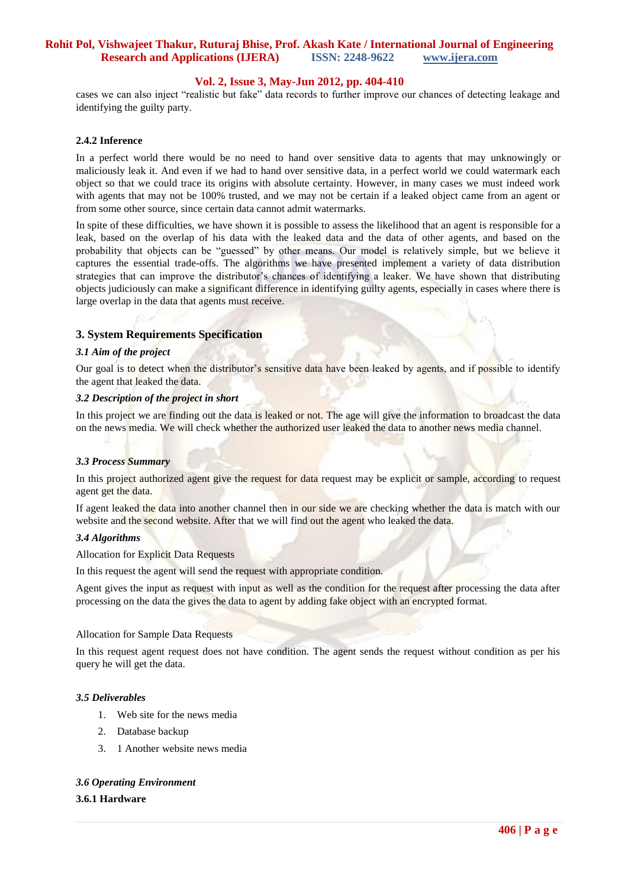## **Vol. 2, Issue 3, May-Jun 2012, pp. 404-410**

cases we can also inject "realistic but fake" data records to further improve our chances of detecting leakage and identifying the guilty party.

#### **2.4.2 Inference**

In a perfect world there would be no need to hand over sensitive data to agents that may unknowingly or maliciously leak it. And even if we had to hand over sensitive data, in a perfect world we could watermark each object so that we could trace its origins with absolute certainty. However, in many cases we must indeed work with agents that may not be 100% trusted, and we may not be certain if a leaked object came from an agent or from some other source, since certain data cannot admit watermarks.

In spite of these difficulties, we have shown it is possible to assess the likelihood that an agent is responsible for a leak, based on the overlap of his data with the leaked data and the data of other agents, and based on the probability that objects can be "guessed" by other means. Our model is relatively simple, but we believe it captures the essential trade-offs. The algorithms we have presented implement a variety of data distribution strategies that can improve the distributor's chances of identifying a leaker. We have shown that distributing objects judiciously can make a significant difference in identifying guilty agents, especially in cases where there is large overlap in the data that agents must receive.

### **3. System Requirements Specification**

#### *3.1 Aim of the project*

Our goal is to detect when the distributor's sensitive data have been leaked by agents, and if possible to identify the agent that leaked the data.

### *3.2 Description of the project in short*

In this project we are finding out the data is leaked or not. The age will give the information to broadcast the data on the news media. We will check whether the authorized user leaked the data to another news media channel.

#### *3.3 Process Summary*

In this project authorized agent give the request for data request may be explicit or sample, according to request agent get the data.

If agent leaked the data into another channel then in our side we are checking whether the data is match with our website and the second website. After that we will find out the agent who leaked the data.

## *3.4 Algorithms*

Allocation for Explicit Data Requests

In this request the agent will send the request with appropriate condition.

Agent gives the input as request with input as well as the condition for the request after processing the data after processing on the data the gives the data to agent by adding fake object with an encrypted format.

#### Allocation for Sample Data Requests

In this request agent request does not have condition. The agent sends the request without condition as per his query he will get the data.

#### *3.5 Deliverables*

- 1. Web site for the news media
- 2. Database backup
- 3. 1 Another website news media

### *3.6 Operating Environment*

#### **3.6.1 Hardware**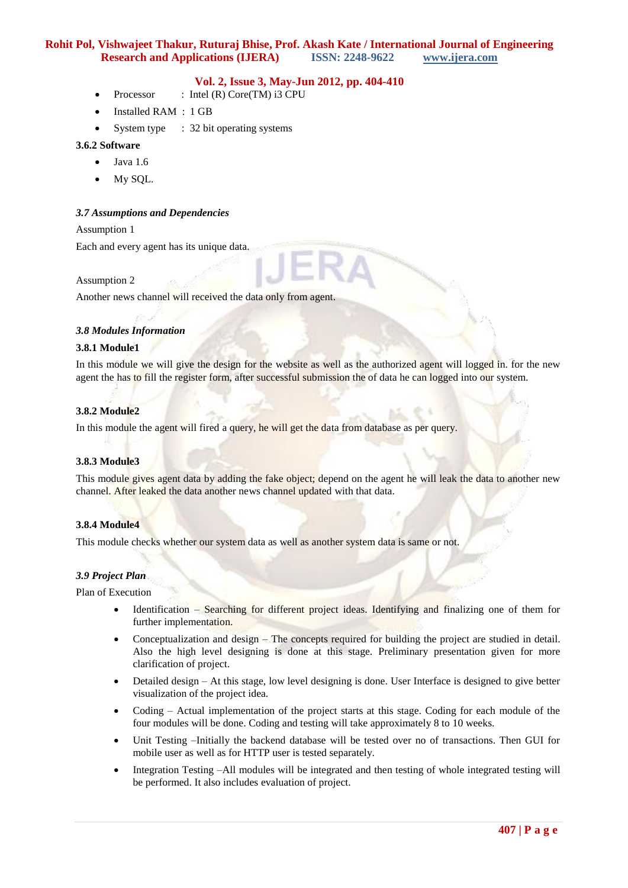## **Vol. 2, Issue 3, May-Jun 2012, pp. 404-410**

- Processor : Intel (R) Core(TM) i3 CPU
- Installed RAM : 1 GB
- System type : 32 bit operating systems

### **3.6.2 Software**

- $\bullet$  Java 1.6
- My SQL.

### *3.7 Assumptions and Dependencies*

#### Assumption 1

Each and every agent has its unique data.

### Assumption 2

Another news channel will received the data only from agent.

### *3.8 Modules Information*

### **3.8.1 Module1**

In this module we will give the design for the website as well as the authorized agent will logged in. for the new agent the has to fill the register form, after successful submission the of data he can logged into our system.

### **3.8.2 Module2**

In this module the agent will fired a query, he will get the data from database as per query.

#### **3.8.3 Module3**

This module gives agent data by adding the fake object; depend on the agent he will leak the data to another new channel. After leaked the data another news channel updated with that data.

### **3.8.4 Module4**

This module checks whether our system data as well as another system data is same or not.

## *3.9 Project Plan*

Plan of Execution

- Identification Searching for different project ideas. Identifying and finalizing one of them for further implementation.
- Conceptualization and design The concepts required for building the project are studied in detail. Also the high level designing is done at this stage. Preliminary presentation given for more clarification of project.
- Detailed design At this stage, low level designing is done. User Interface is designed to give better visualization of the project idea.
- Coding Actual implementation of the project starts at this stage. Coding for each module of the four modules will be done. Coding and testing will take approximately 8 to 10 weeks.
- Unit Testing –Initially the backend database will be tested over no of transactions. Then GUI for mobile user as well as for HTTP user is tested separately.
- Integration Testing –All modules will be integrated and then testing of whole integrated testing will be performed. It also includes evaluation of project.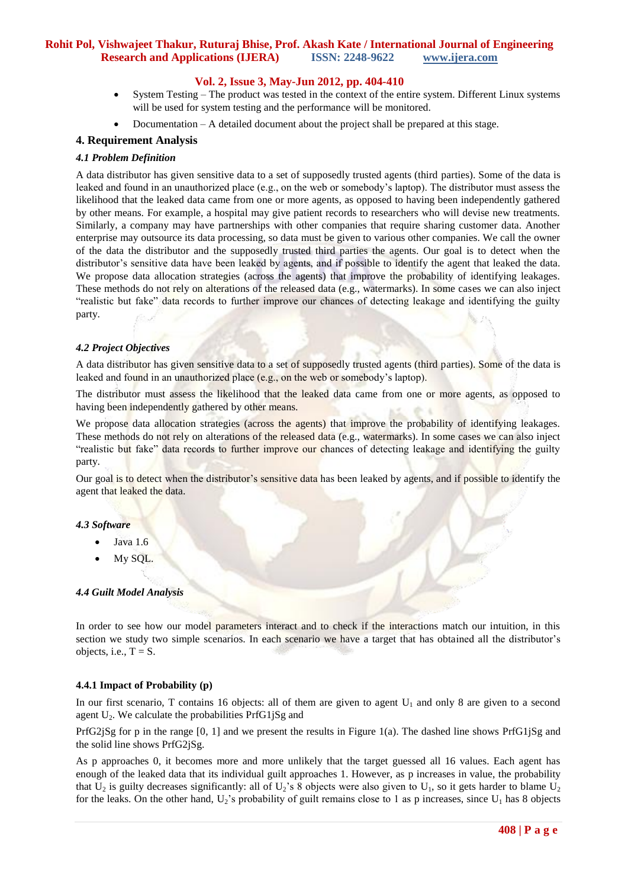## **Vol. 2, Issue 3, May-Jun 2012, pp. 404-410**

- System Testing The product was tested in the context of the entire system. Different Linux systems will be used for system testing and the performance will be monitored.
- Documentation A detailed document about the project shall be prepared at this stage.

### **4. Requirement Analysis**

#### *4.1 Problem Definition*

A data distributor has given sensitive data to a set of supposedly trusted agents (third parties). Some of the data is leaked and found in an unauthorized place (e.g., on the web or somebody's laptop). The distributor must assess the likelihood that the leaked data came from one or more agents, as opposed to having been independently gathered by other means. For example, a hospital may give patient records to researchers who will devise new treatments. Similarly, a company may have partnerships with other companies that require sharing customer data. Another enterprise may outsource its data processing, so data must be given to various other companies. We call the owner of the data the distributor and the supposedly trusted third parties the agents. Our goal is to detect when the distributor's sensitive data have been leaked by agents, and if possible to identify the agent that leaked the data. We propose data allocation strategies (across the agents) that improve the probability of identifying leakages. These methods do not rely on alterations of the released data (e.g., watermarks). In some cases we can also inject "realistic but fake" data records to further improve our chances of detecting leakage and identifying the guilty party.

## *4.2 Project Objectives*

A data distributor has given sensitive data to a set of supposedly trusted agents (third parties). Some of the data is leaked and found in an unauthorized place (e.g., on the web or somebody's laptop).

The distributor must assess the likelihood that the leaked data came from one or more agents, as opposed to having been independently gathered by other means.

We propose data allocation strategies (across the agents) that improve the probability of identifying leakages. These methods do not rely on alterations of the released data (e.g., watermarks). In some cases we can also inject "realistic but fake" data records to further improve our chances of detecting leakage and identifying the guilty party.

Our goal is to detect when the distributor's sensitive data has been leaked by agents, and if possible to identify the agent that leaked the data.

#### *4.3 Software*

- Java 1.6
- My SQL.

### *4.4 Guilt Model Analysis*

In order to see how our model parameters interact and to check if the interactions match our intuition, in this section we study two simple scenarios. In each scenario we have a target that has obtained all the distributor's objects, i.e.,  $T = S$ .

#### **4.4.1 Impact of Probability (p)**

In our first scenario, T contains 16 objects: all of them are given to agent  $U_1$  and only 8 are given to a second agent  $U_2$ . We calculate the probabilities PrfG1 $iSg$  and

PrfG2jSg for p in the range [0, 1] and we present the results in Figure 1(a). The dashed line shows PrfG1jSg and the solid line shows PrfG2jSg.

As p approaches 0, it becomes more and more unlikely that the target guessed all 16 values. Each agent has enough of the leaked data that its individual guilt approaches 1. However, as p increases in value, the probability that  $U_2$  is guilty decreases significantly: all of  $U_2$ 's 8 objects were also given to  $U_1$ , so it gets harder to blame  $U_2$ for the leaks. On the other hand,  $U_2$ 's probability of guilt remains close to 1 as p increases, since  $U_1$  has 8 objects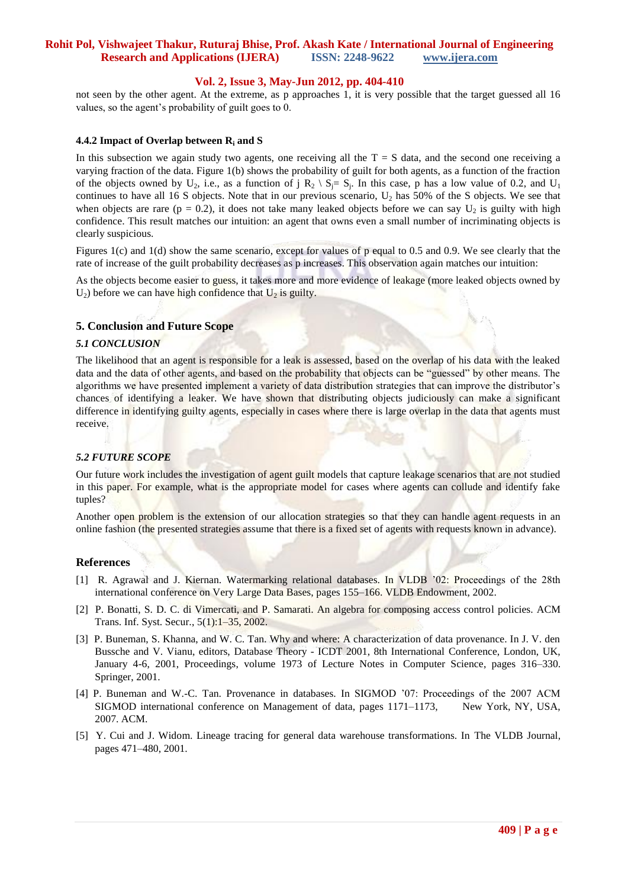## **Vol. 2, Issue 3, May-Jun 2012, pp. 404-410**

not seen by the other agent. At the extreme, as p approaches 1, it is very possible that the target guessed all 16 values, so the agent's probability of guilt goes to 0.

#### **4.4.2 Impact of Overlap between R<sup>i</sup> and S**

In this subsection we again study two agents, one receiving all the  $T = S$  data, and the second one receiving a varying fraction of the data. Figure 1(b) shows the probability of guilt for both agents, as a function of the fraction of the objects owned by  $U_2$ , i.e., as a function of j  $R_2 \setminus S_j = S_j$ . In this case, p has a low value of 0.2, and  $U_1$ continues to have all 16 S objects. Note that in our previous scenario,  $U_2$  has 50% of the S objects. We see that when objects are rare ( $p = 0.2$ ), it does not take many leaked objects before we can say  $U_2$  is guilty with high confidence. This result matches our intuition: an agent that owns even a small number of incriminating objects is clearly suspicious.

Figures 1(c) and 1(d) show the same scenario, except for values of p equal to 0.5 and 0.9. We see clearly that the rate of increase of the guilt probability decreases as p increases. This observation again matches our intuition:

As the objects become easier to guess, it takes more and more evidence of leakage (more leaked objects owned by  $U_2$ ) before we can have high confidence that  $U_2$  is guilty.

## **5. Conclusion and Future Scope**

### *5.1 CONCLUSION*

The likelihood that an agent is responsible for a leak is assessed, based on the overlap of his data with the leaked data and the data of other agents, and based on the probability that objects can be "guessed" by other means. The algorithms we have presented implement a variety of data distribution strategies that can improve the distributor's chances of identifying a leaker. We have shown that distributing objects judiciously can make a significant difference in identifying guilty agents, especially in cases where there is large overlap in the data that agents must receive.

## *5.2 FUTURE SCOPE*

Our future work includes the investigation of agent guilt models that capture leakage scenarios that are not studied in this paper. For example, what is the appropriate model for cases where agents can collude and identify fake tuples?

Another open problem is the extension of our allocation strategies so that they can handle agent requests in an online fashion (the presented strategies assume that there is a fixed set of agents with requests known in advance).

#### **References**

- [1] R. Agrawal and J. Kiernan. Watermarking relational databases. In VLDB '02: Proceedings of the 28th international conference on Very Large Data Bases, pages 155–166. VLDB Endowment, 2002.
- [2] P. Bonatti, S. D. C. di Vimercati, and P. Samarati. An algebra for composing access control policies. ACM Trans. Inf. Syst. Secur., 5(1):1–35, 2002.
- [3] P. Buneman, S. Khanna, and W. C. Tan. Why and where: A characterization of data provenance. In J. V. den Bussche and V. Vianu, editors, Database Theory - ICDT 2001, 8th International Conference, London, UK, January 4-6, 2001, Proceedings, volume 1973 of Lecture Notes in Computer Science, pages 316–330. Springer, 2001.
- [4] P. Buneman and W.-C. Tan. Provenance in databases. In SIGMOD '07: Proceedings of the 2007 ACM SIGMOD international conference on Management of data, pages 1171–1173, New York, NY, USA, 2007. ACM.
- [5] Y. Cui and J. Widom. Lineage tracing for general data warehouse transformations. In The VLDB Journal, pages 471–480, 2001.